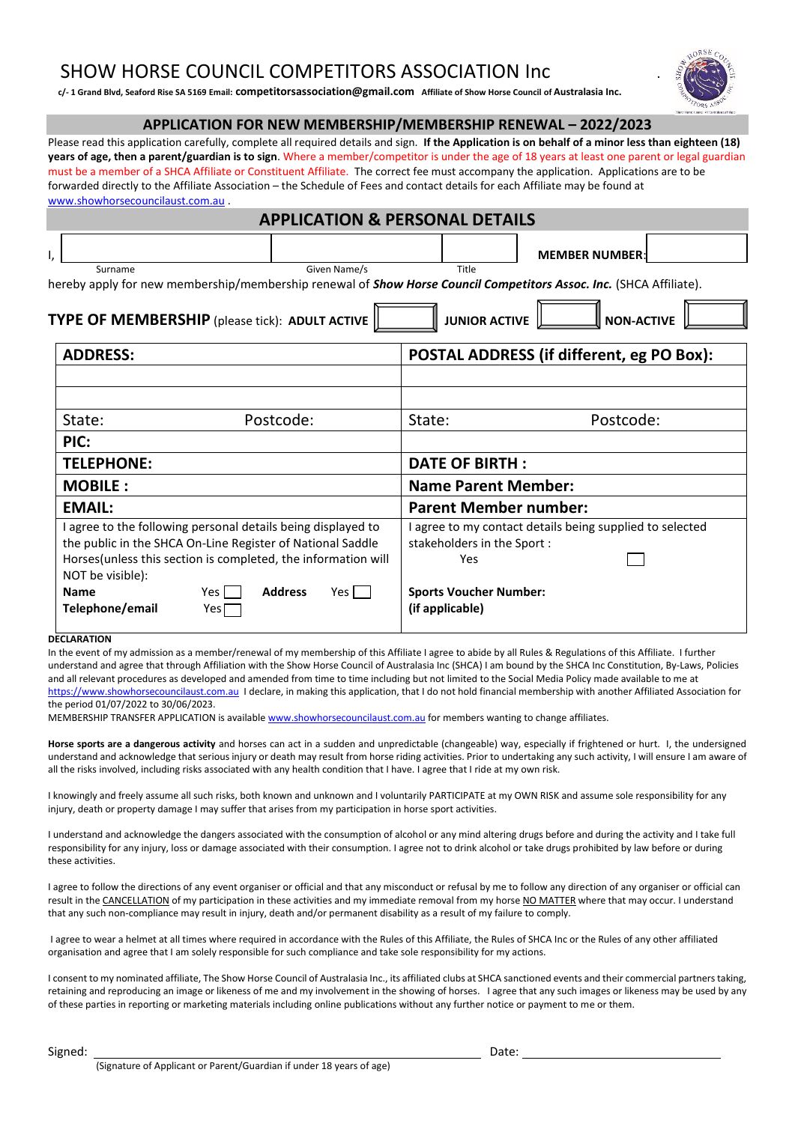## SHOW HORSE COUNCIL COMPETITORS ASSOCIATION Inc.

**c/- 1 Grand Blvd, Seaford Rise SA 5169 Email: competitorsassociation@gmail.com Affiliate of Show Horse Council of Australasia Inc.**

### **APPLICATION FOR NEW MEMBERSHIP/MEMBERSHIP RENEWAL – 2022/2023**

Please read this application carefully, complete all required details and sign. **If the Application is on behalf of a minor less than eighteen (18) years of age, then a parent/guardian is to sign**. Where a member/competitor is under the age of 18 years at least one parent or legal guardian must be a member of a SHCA Affiliate or Constituent Affiliate. The correct fee must accompany the application. Applications are to be forwarded directly to the Affiliate Association – the Schedule of Fees and contact details for each Affiliate may be found at [www.showhorsecouncilaust.com.au](http://www.showhorsecouncilaust.com.au/)

| <b>APPLICATION &amp; PERSONAL DETAILS</b>                                                                                                                                                   |                                                                                               |  |  |
|---------------------------------------------------------------------------------------------------------------------------------------------------------------------------------------------|-----------------------------------------------------------------------------------------------|--|--|
|                                                                                                                                                                                             | <b>MEMBER NUMBER:</b>                                                                         |  |  |
| Given Name/s<br>Title<br>Surname<br>hereby apply for new membership/membership renewal of <b>Show Horse Council Competitors Assoc. Inc.</b> (SHCA Affiliate).                               |                                                                                               |  |  |
| TYPE OF MEMBERSHIP (please tick): ADULT ACTIVE<br><b>JUNIOR ACTIVE</b><br><b>NON-ACTIVE</b>                                                                                                 |                                                                                               |  |  |
| <b>ADDRESS:</b>                                                                                                                                                                             | POSTAL ADDRESS (if different, eg PO Box):                                                     |  |  |
|                                                                                                                                                                                             |                                                                                               |  |  |
|                                                                                                                                                                                             |                                                                                               |  |  |
| Postcode:<br>State:                                                                                                                                                                         | Postcode:<br>State:                                                                           |  |  |
| PIC:                                                                                                                                                                                        |                                                                                               |  |  |
| <b>TELEPHONE:</b>                                                                                                                                                                           | <b>DATE OF BIRTH:</b>                                                                         |  |  |
| <b>MOBILE:</b>                                                                                                                                                                              | <b>Name Parent Member:</b>                                                                    |  |  |
| <b>EMAIL:</b>                                                                                                                                                                               | <b>Parent Member number:</b>                                                                  |  |  |
| I agree to the following personal details being displayed to<br>the public in the SHCA On-Line Register of National Saddle<br>Horses(unless this section is completed, the information will | I agree to my contact details being supplied to selected<br>stakeholders in the Sport:<br>Yes |  |  |
| NOT be visible):<br><b>Address</b><br>Yes<br>Yes l<br><b>Name</b><br>Telephone/email<br>Yes $\Box$                                                                                          | <b>Sports Voucher Number:</b><br>(if applicable)                                              |  |  |

#### **DECLARATION**

In the event of my admission as a member/renewal of my membership of this Affiliate I agree to abide by all Rules & Regulations of this Affiliate. I further understand and agree that through Affiliation with the Show Horse Council of Australasia Inc (SHCA) I am bound by the SHCA Inc Constitution, By-Laws, Policies and all relevant procedures as developed and amended from time to time including but not limited to the Social Media Policy made available to me at [https://www.showhorsecouncilaust.com.au](https://www.showhorsecouncilaust.com.au/) I declare, in making this application, that I do not hold financial membership with another Affiliated Association for the period 01/07/2022 to 30/06/2023.

MEMBERSHIP TRANSFER APPLICATION is availabl[e www.showhorsecouncilaust.com.au](http://www.showhorsecouncilaust.com.au/) for members wanting to change affiliates.

**Horse sports are a dangerous activity** and horses can act in a sudden and unpredictable (changeable) way, especially if frightened or hurt. I, the undersigned understand and acknowledge that serious injury or death may result from horse riding activities. Prior to undertaking any such activity, I will ensure I am aware of all the risks involved, including risks associated with any health condition that I have. I agree that I ride at my own risk.

I knowingly and freely assume all such risks, both known and unknown and I voluntarily PARTICIPATE at my OWN RISK and assume sole responsibility for any injury, death or property damage I may suffer that arises from my participation in horse sport activities.

I understand and acknowledge the dangers associated with the consumption of alcohol or any mind altering drugs before and during the activity and I take full responsibility for any injury, loss or damage associated with their consumption. I agree not to drink alcohol or take drugs prohibited by law before or during these activities.

I agree to follow the directions of any event organiser or official and that any misconduct or refusal by me to follow any direction of any organiser or official can result in the CANCELLATION of my participation in these activities and my immediate removal from my horse NO MATTER where that may occur. I understand that any such non-compliance may result in injury, death and/or permanent disability as a result of my failure to comply.

I agree to wear a helmet at all times where required in accordance with the Rules of this Affiliate, the Rules of SHCA Inc or the Rules of any other affiliated organisation and agree that I am solely responsible for such compliance and take sole responsibility for my actions.

I consent to my nominated affiliate, The Show Horse Council of Australasia Inc., its affiliated clubs at SHCA sanctioned events and their commercial partners taking, retaining and reproducing an image or likeness of me and my involvement in the showing of horses. I agree that any such images or likeness may be used by any of these parties in reporting or marketing materials including online publications without any further notice or payment to me or them.